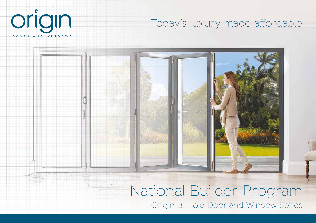

## Today's luxury made affordable

# National Builder Program

Origin Bi-Fold Door and Window Series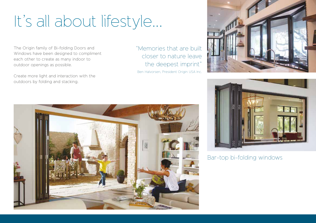# It's all about lifestyle...

The Origin family of Bi-folding Doors and Windows have been designed to compliment each other to create as many indoor to outdoor openings as possible.

Create more light and interaction with the outdoors by folding and stacking.

"Memories that are built closer to nature leave the deepest imprint" Ben Halvorsen, President Origin USA Inc.





Bar-top bi-folding windows

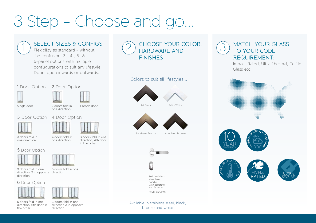# 3 Step - Choose and go...

### SELECT SIZES & CONFIGS

Flexibility as standard - without the confusion. 3-, 4-, 5- & 6-panel options with multiple confugurations to suit any lifestyle. Doors open inwards or outwards.

### 1 Door Option 2 Door Option







### 3 Door Option 4 Door Option







3 doors fold in one direction

4 doors fold in one direction 3 doors fold in one direction, 4th door in the other

### 5 Door Option





3 doors fold in one direction, 2 in opposite direction direction

5 doors fold in one

### 6 Door Option



direction, 6th door in

the other



3 doors fold in one direction 3 in opposite direction

CHOOSE YOUR COLOR. HARDWARE AND **FINISHES** 

### Colors to suit all lifestyles...



Jet Black Patio White



Southern Bronze Anodized Bronze



Solid stainless steel lever handle with separate escutcheon

(Style 253/280)

Available in stainless steel, black, bronze and white

### 3 MATCH YOUR GLASS TO YOUR CODE REQUIREMENT:

Impact Rated, Ultra-thermal, Turtle Glass etc..









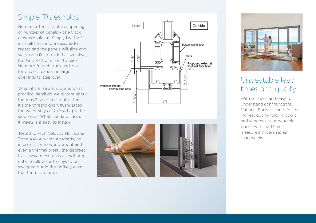### Simple Thresholds

No matter the size of the opening or number of panels - one track dimension fits all. Simply lay the 2 inch tall track into a designed-in recess and the panels will slide and stack on a flush track that will always be 3 inches from front to back. No more 9+ inch track add-ons for endless panels on larger openings to step over.

When it's all said and done, what practical detail do we all care about the most? Nine times out of ten it's the threshold Is it flush? Does the water stay out? How big is the step-over? What standards does it meet? Is it easy to install?

Tested to High Velocity Hurricane Zone AAMA water standards, no internal riser to worry about and even a thermal break, the discreet track system even has a small prep detail to allow for trolleys to be swapped out in the unlikely event that there is a failure.









### Unbeatable lead times and quality

With set sizes and easy to understand configurations, National Builders can offer the highest quality folding doors and windows at unbeatable prices with lead times measured in days rather than weeks.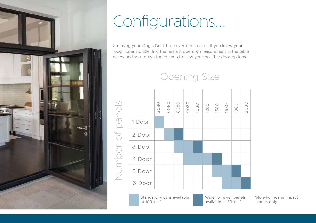

# Configurations...

Choosing your Origin Door has never been easier. If you know your rough opening size, find the nearest opening measurement in the table below and scan down the column to view your possible door options.

Opening Size



Standard widths available at 10ft tall\*

Wider & fewer panels available at 8ft tall\*

\*Non-hurricane impact zones only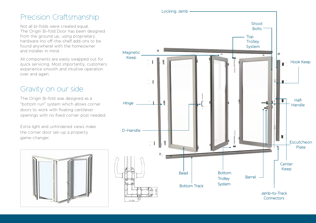### Precision Craftsmanship

Not all bi-folds were created equal. The Origin Bi-fold Door has been designed from the ground up, using proprietary hardware (no off-the-shelf add-ons to be found anywhere) with the homeowner and installer in mind.

All components are easily swapped out for quick servicing. Most importantly, customers experience smooth and intuitive operation over and again.

### Gravity on our side

The Origin Bi-fold was designed as a "bottom run" system which allows corner doors to work with floating cantilever openings with no fixed corner post needed.

Extra light and unhindered views make the corner door set-up a property game-changer.



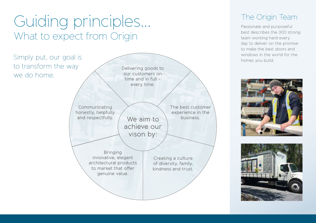# Guiding principles... What to expect from Origin

to transform the way we do home.



### The Origin Team

Passionate and purposeful best describes the 300 strong team working hard every day to deliver on the promise to make the best doors and windows in the world for the